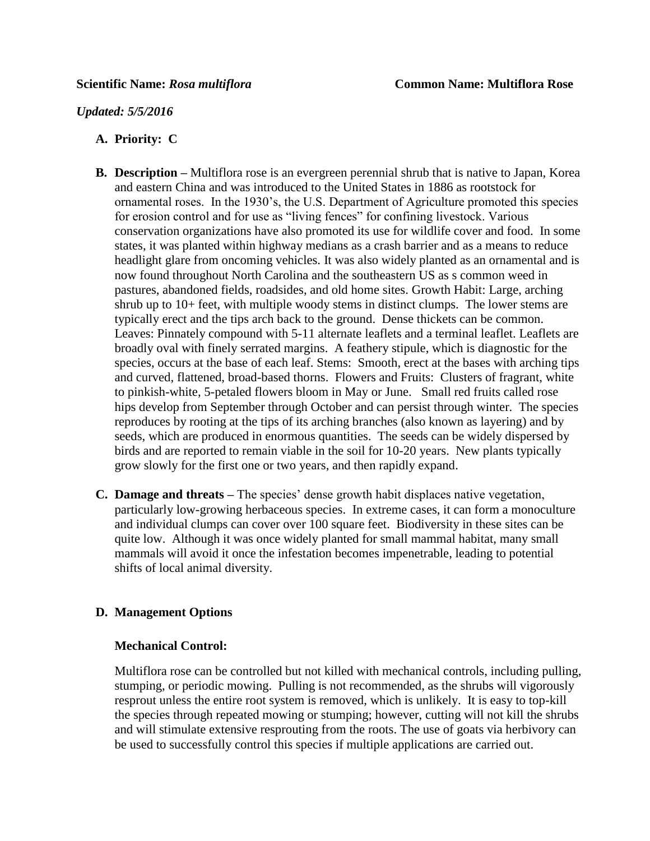## *Updated: 5/5/2016*

# **A. Priority: C**

- **B. Description –** Multiflora rose is an evergreen perennial shrub that is native to Japan, Korea and eastern China and was introduced to the United States in 1886 as rootstock for ornamental roses. In the 1930's, the U.S. Department of Agriculture promoted this species for erosion control and for use as "living fences" for confining livestock. Various conservation organizations have also promoted its use for wildlife cover and food. In some states, it was planted within highway medians as a crash barrier and as a means to reduce headlight glare from oncoming vehicles. It was also widely planted as an ornamental and is now found throughout North Carolina and the southeastern US as s common weed in pastures, abandoned fields, roadsides, and old home sites. Growth Habit: Large, arching shrub up to 10+ feet, with multiple woody stems in distinct clumps. The lower stems are typically erect and the tips arch back to the ground. Dense thickets can be common. Leaves: Pinnately compound with 5-11 alternate leaflets and a terminal leaflet. Leaflets are broadly oval with finely serrated margins. A feathery stipule, which is diagnostic for the species, occurs at the base of each leaf. Stems: Smooth, erect at the bases with arching tips and curved, flattened, broad-based thorns. Flowers and Fruits: Clusters of fragrant, white to pinkish-white, 5-petaled flowers bloom in May or June. Small red fruits called rose hips develop from September through October and can persist through winter. The species reproduces by rooting at the tips of its arching branches (also known as layering) and by seeds, which are produced in enormous quantities. The seeds can be widely dispersed by birds and are reported to remain viable in the soil for 10-20 years. New plants typically grow slowly for the first one or two years, and then rapidly expand.
- **C. Damage and threats –** The species' dense growth habit displaces native vegetation, particularly low-growing herbaceous species. In extreme cases, it can form a monoculture and individual clumps can cover over 100 square feet. Biodiversity in these sites can be quite low. Although it was once widely planted for small mammal habitat, many small mammals will avoid it once the infestation becomes impenetrable, leading to potential shifts of local animal diversity.

# **D. Management Options**

# **Mechanical Control:**

Multiflora rose can be controlled but not killed with mechanical controls, including pulling, stumping, or periodic mowing. Pulling is not recommended, as the shrubs will vigorously resprout unless the entire root system is removed, which is unlikely. It is easy to top-kill the species through repeated mowing or stumping; however, cutting will not kill the shrubs and will stimulate extensive resprouting from the roots. The use of goats via herbivory can be used to successfully control this species if multiple applications are carried out.